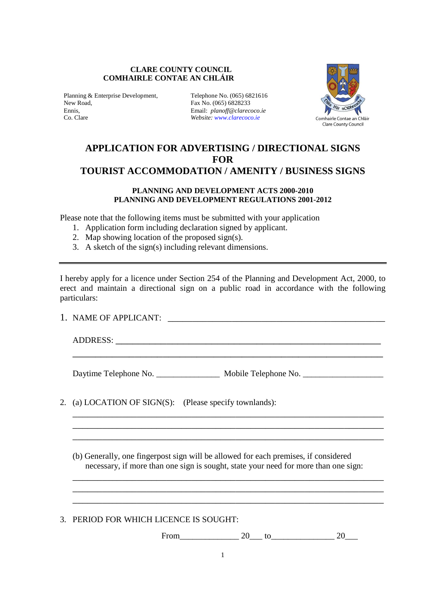#### **CLARE COUNTY COUNCIL COMHAIRLE CONTAE AN CHLÁIR**

Planning & Enterprise Development, Telephone No. (065) 6821616 New Road, Fax No. (065) 6828233<br>
Fanis Famil: planoff@clareco Ennis, Email: *planoff@clarecoco.ie*

Website: www.clarecoco.ie



# **APPLICATION FOR ADVERTISING / DIRECTIONAL SIGNS FOR TOURIST ACCOMMODATION / AMENITY / BUSINESS SIGNS**

#### **PLANNING AND DEVELOPMENT ACTS 2000-2010 PLANNING AND DEVELOPMENT REGULATIONS 2001-2012**

Please note that the following items must be submitted with your application

- 1. Application form including declaration signed by applicant.
- 2. Map showing location of the proposed sign(s).
- 3. A sketch of the sign(s) including relevant dimensions.

I hereby apply for a licence under Section 254 of the Planning and Development Act, 2000, to erect and maintain a directional sign on a public road in accordance with the following particulars:

\_\_\_\_\_\_\_\_\_\_\_\_\_\_\_\_\_\_\_\_\_\_\_\_\_\_\_\_\_\_\_\_\_\_\_\_\_\_\_\_\_\_\_\_\_\_\_\_\_\_\_\_\_\_\_

\_\_\_\_\_\_\_\_\_\_\_\_\_\_\_\_\_\_\_\_\_\_\_\_\_\_\_\_\_\_\_\_\_\_\_\_\_\_\_\_\_\_\_\_\_\_\_\_\_\_\_\_\_\_\_\_\_\_\_\_\_\_\_ \_\_\_\_\_\_\_\_\_\_\_\_\_\_\_\_\_\_\_\_\_\_\_\_\_\_\_\_\_\_\_\_\_\_\_\_\_\_\_\_\_\_\_\_\_\_\_\_\_\_\_\_\_\_\_\_\_\_\_\_\_\_\_ \_\_\_\_\_\_\_\_\_\_\_\_\_\_\_\_\_\_\_\_\_\_\_\_\_\_\_\_\_\_\_\_\_\_\_\_\_\_\_\_\_\_\_\_\_\_\_\_\_\_\_\_\_\_\_\_\_\_\_\_\_\_\_

1. NAME OF APPLICANT: \_\_\_\_\_\_\_\_\_\_\_\_\_\_\_\_\_\_\_\_\_\_\_\_\_\_\_\_\_\_\_\_\_\_\_\_\_\_\_\_\_\_\_\_

ADDRESS:

Daytime Telephone No. \_\_\_\_\_\_\_\_\_\_\_\_\_\_\_\_ Mobile Telephone No. \_\_\_\_\_\_\_\_\_\_\_\_\_\_\_\_\_\_\_\_

2. (a) LOCATION OF SIGN(S): (Please specify townlands):

(b) Generally, one fingerpost sign will be allowed for each premises, if considered necessary, if more than one sign is sought, state your need for more than one sign:

\_\_\_\_\_\_\_\_\_\_\_\_\_\_\_\_\_\_\_\_\_\_\_\_\_\_\_\_\_\_\_\_\_\_\_\_\_\_\_\_\_\_\_\_\_\_\_\_\_\_\_\_\_\_\_\_\_\_\_\_\_\_\_ \_\_\_\_\_\_\_\_\_\_\_\_\_\_\_\_\_\_\_\_\_\_\_\_\_\_\_\_\_\_\_\_\_\_\_\_\_\_\_\_\_\_\_\_\_\_\_\_\_\_\_\_\_\_\_\_\_\_\_\_\_\_\_ \_\_\_\_\_\_\_\_\_\_\_\_\_\_\_\_\_\_\_\_\_\_\_\_\_\_\_\_\_\_\_\_\_\_\_\_\_\_\_\_\_\_\_\_\_\_\_\_\_\_\_\_\_\_\_\_\_\_\_\_\_\_\_

3. PERIOD FOR WHICH LICENCE IS SOUGHT:

From  $20$  to  $20$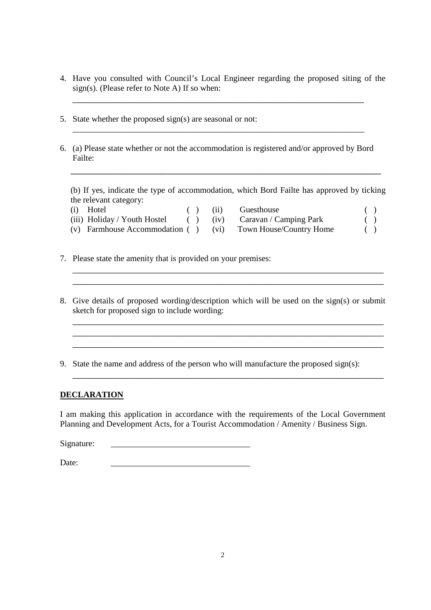4. Have you consulted with Council's Local Engineer regarding the proposed siting of the sign(s). (Please refer to Note A) If so when:

\_\_\_\_\_\_\_\_\_\_\_\_\_\_\_\_\_\_\_\_\_\_\_\_\_\_\_\_\_\_\_\_\_\_\_\_\_\_\_\_\_\_\_\_\_\_\_\_\_\_\_\_\_\_\_\_\_\_\_

\_\_\_\_\_\_\_\_\_\_\_\_\_\_\_\_\_\_\_\_\_\_\_\_\_\_\_\_\_\_\_\_\_\_\_\_\_\_\_\_\_\_\_\_\_\_\_\_\_\_\_\_\_\_\_\_\_\_\_\_\_\_\_\_\_\_\_\_\_

- 5. State whether the proposed sign(s) are seasonal or not:
- 6. (a) Please state whether or not the accommodation is registered and/or approved by Bord Failte:

(b) If yes, indicate the type of accommodation, which Bord Failte has approved by ticking the relevant category:

\_\_\_\_\_\_\_\_\_\_\_\_\_\_\_\_\_\_\_\_\_\_\_\_\_\_\_\_\_\_\_\_\_\_\_\_\_\_\_\_\_\_\_\_\_\_\_\_\_\_\_\_\_\_\_

- (i) Hotel ( ) (ii) Guesthouse ( ) (iii) (iii) (iii) (iii) (iii) (iii) (iii) (iii) (iii) (iii) (iiii) (iiii) (iiii) (iiii) (iiii) (iiii) (iiii) (iiii) (iiii) (iiii) (iiii) (iiiii) (iiiii) (iiiiii) (iiiiii) (iiiiii) (iiiiiii (iii) Holiday / Youth Hostel ( ) (iv) Caravan / Camping Park ( )
- (v) Farmhouse Accommodation ( ) (vi) Town House/Country Home ( )
- 

- 
- 

- 7. Please state the amenity that is provided on your premises:
- 8. Give details of proposed wording/description which will be used on the sign(s) or submit sketch for proposed sign to include wording:

\_\_\_\_\_\_\_\_\_\_\_\_\_\_\_\_\_\_\_\_\_\_\_\_\_\_\_\_\_\_\_\_\_\_\_\_\_\_\_\_\_\_\_\_\_\_\_\_\_\_\_\_\_\_\_\_\_\_\_\_\_\_\_

\_\_\_\_\_\_\_\_\_\_\_\_\_\_\_\_\_\_\_\_\_\_\_\_\_\_\_\_\_\_\_\_\_\_\_\_\_\_\_\_\_\_\_\_\_\_\_\_\_\_\_\_\_\_\_\_\_\_\_\_\_\_\_

\_\_\_\_\_\_\_\_\_\_\_\_\_\_\_\_\_\_\_\_\_\_\_\_\_\_\_\_\_\_\_\_\_\_\_\_\_\_\_\_\_\_\_\_\_\_\_\_\_\_\_\_\_\_\_\_\_\_\_\_\_\_\_

\_\_\_\_\_\_\_\_\_\_\_\_\_\_\_\_\_\_\_\_\_\_\_\_\_\_\_\_\_\_\_\_\_\_\_\_\_\_\_\_\_\_\_\_\_\_\_\_\_\_\_\_\_\_\_\_\_\_\_\_\_\_\_ \_\_\_\_\_\_\_\_\_\_\_\_\_\_\_\_\_\_\_\_\_\_\_\_\_\_\_\_\_\_\_\_\_\_\_\_\_\_\_\_\_\_\_\_\_\_\_\_\_\_\_\_\_\_\_\_\_\_\_\_\_\_\_

9. State the name and address of the person who will manufacture the proposed sign(s):

 $\mathcal{L}_\text{max}$ 

## **DECLARATION**

I am making this application in accordance with the requirements of the Local Government Planning and Development Acts, for a Tourist Accommodation / Amenity / Business Sign.

Signature:

Date: \_\_\_\_\_\_\_\_\_\_\_\_\_\_\_\_\_\_\_\_\_\_\_\_\_\_\_\_\_\_\_\_\_